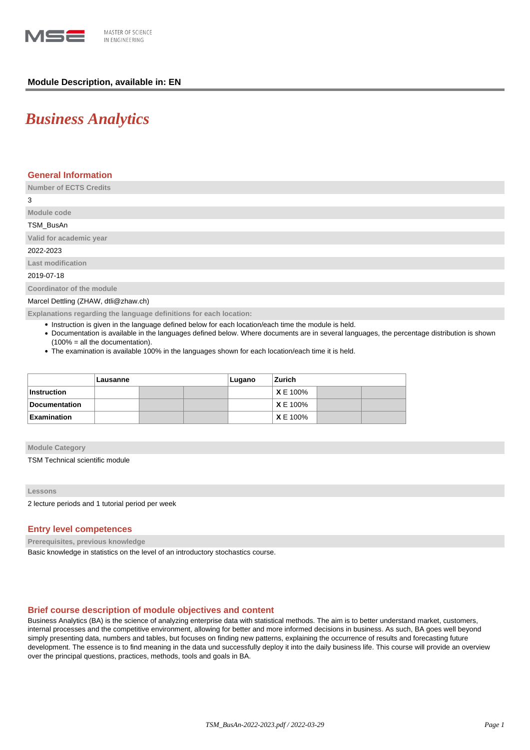

# **Module Description, available in: EN**

# *Business Analytics*

## **General Information**

**Number of ECTS Credits**

| 3                         |
|---------------------------|
| Module code               |
| TSM_BusAn                 |
| Valid for academic year   |
| 2022-2023                 |
| <b>Last modification</b>  |
| 2019-07-18                |
| Coordinator of the module |

Marcel Dettling (ZHAW, dtli@zhaw.ch)

**Explanations regarding the language definitions for each location:**

- Instruction is given in the language defined below for each location/each time the module is held.
- Documentation is available in the languages defined below. Where documents are in several languages, the percentage distribution is shown (100% = all the documentation).
- The examination is available 100% in the languages shown for each location/each time it is held.

|               | Lausanne |  |  | Lugano | Zurich          |  |  |
|---------------|----------|--|--|--------|-----------------|--|--|
| Instruction   |          |  |  |        | <b>X</b> E 100% |  |  |
| Documentation |          |  |  |        | XE 100%         |  |  |
| Examination   |          |  |  |        | <b>X</b> E 100% |  |  |

#### **Module Category**

TSM Technical scientific module

**Lessons**

2 lecture periods and 1 tutorial period per week

## **Entry level competences**

**Prerequisites, previous knowledge**

Basic knowledge in statistics on the level of an introductory stochastics course.

## **Brief course description of module objectives and content**

Business Analytics (BA) is the science of analyzing enterprise data with statistical methods. The aim is to better understand market, customers, internal processes and the competitive environment, allowing for better and more informed decisions in business. As such, BA goes well beyond simply presenting data, numbers and tables, but focuses on finding new patterns, explaining the occurrence of results and forecasting future development. The essence is to find meaning in the data und successfully deploy it into the daily business life. This course will provide an overview over the principal questions, practices, methods, tools and goals in BA.